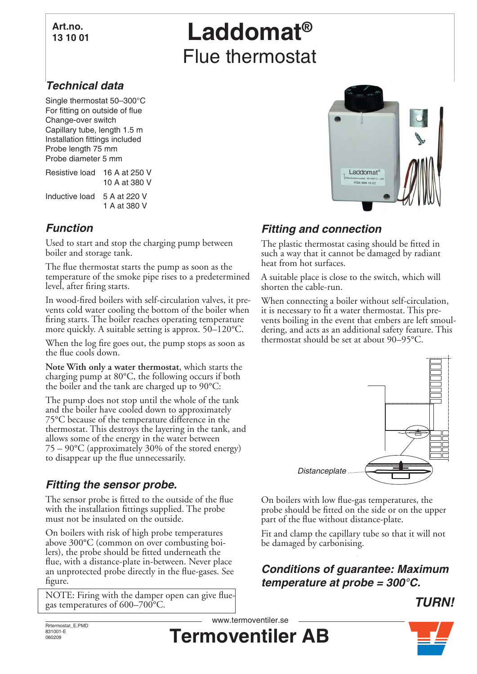#### **Art.no. 13 10 01**

# **Laddomat®** Flue thermostat

## *Technical data*

Single thermostat 50–300°C For fitting on outside of flue Change-over switch Capillary tube, length 1.5 m Installation fittings included Probe length 75 mm Probe diameter 5 mm

Resistive load 16 A at 250 V 10 A at 380 V Inductive load 5 A at 220 V

1 A at 380 V

## *Function*

Used to start and stop the charging pump between boiler and storage tank.

The flue thermostat starts the pump as soon as the temperature of the smoke pipe rises to a predetermined level, after firing starts.

In wood-fired boilers with self-circulation valves, it prevents cold water cooling the bottom of the boiler when firing starts. The boiler reaches operating temperature more quickly. A suitable setting is approx. 50–120°C.

When the log fire goes out, the pump stops as soon as the flue cools down.

**Note With only a water thermostat**, which starts the charging pump at 80°C, the following occurs if both the boiler and the tank are charged up to 90°C:

The pump does not stop until the whole of the tank and the boiler have cooled down to approximately 75°C because of the temperature difference in the thermostat. This destroys the layering in the tank, and allows some of the energy in the water between 75 – 90°C (approximately 30% of the stored energy) to disappear up the flue unnecessarily.

#### *Fitting the sensor probe.*

The sensor probe is fitted to the outside of the flue with the installation fittings supplied. The probe must not be insulated on the outside.

On boilers with risk of high probe temperatures above 300°C (common on over combusting boilers), the probe should be fitted underneath the flue, with a distance-plate in-between. Never place an unprotected probe directly in the flue-gases. See figure.

NOTE: Firing with the damper open can give fluegas temperatures of 600–700°C.



## *Fitting and connection*

The plastic thermostat casing should be fitted in such a way that it cannot be damaged by radiant heat from hot surfaces.

A suitable place is close to the switch, which will shorten the cable-run.

When connecting a boiler without self-circulation, it is necessary to fit a water thermostat. This prevents boiling in the event that embers are left smouldering, and acts as an additional safety feature. This thermostat should be set at about 90–95°C.



On boilers with low flue-gas temperatures, the probe should be fitted on the side or on the upper part of the flue without distance-plate.

Fit and clamp the capillary tube so that it will not be damaged by carbonising.

#### *Conditions of guarantee: Maximum temperature at probe = 300°C.*



Rrtermostat\_E.PMD 831001-E 060209

**Termoventiler AB** www.termoventiler.se